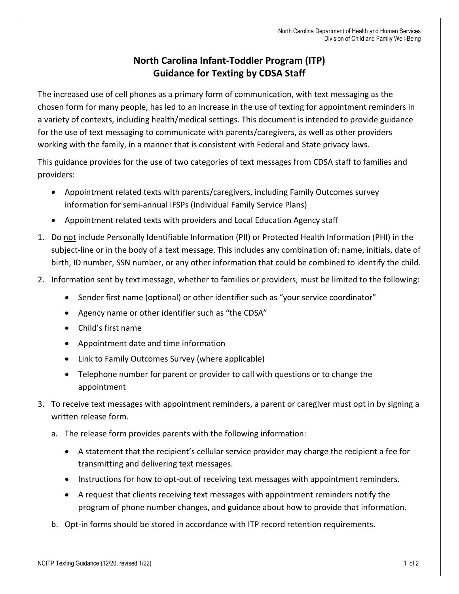## **North Carolina Infant-Toddler Program (ITP) Guidance for Texting by CDSA Staff**

The increased use of cell phones as a primary form of communication, with text messaging as the chosen form for many people, has led to an increase in the use of texting for appointment reminders in a variety of contexts, including health/medical settings. This document is intended to provide guidance for the use of text messaging to communicate with parents/caregivers, as well as other providers working with the family, in a manner that is consistent with Federal and State privacy laws.

This guidance provides for the use of two categories of text messages from CDSA staff to families and providers:

- Appointment related texts with parents/caregivers, including Family Outcomes survey information for semi-annual IFSPs (Individual Family Service Plans)
- Appointment related texts with providers and Local Education Agency staff
- 1. Do not include Personally Identifiable Information (PII) or Protected Health Information (PHI) in the subject-line or in the body of a text message. This includes any combination of: name, initials, date of birth, ID number, SSN number, or any other information that could be combined to identify the child.
- 2. Information sent by text message, whether to families or providers, must be limited to the following:
	- Sender first name (optional) or other identifier such as "your service coordinator"
	- Agency name or other identifier such as "the CDSA"
	- Child's first name
	- Appointment date and time information
	- Link to Family Outcomes Survey (where applicable)
	- Telephone number for parent or provider to call with questions or to change the appointment
- 3. To receive text messages with appointment reminders, a parent or caregiver must opt in by signing a written release form.
	- a. The release form provides parents with the following information:
		- A statement that the recipient's cellular service provider may charge the recipient a fee for transmitting and delivering text messages.
		- Instructions for how to opt-out of receiving text messages with appointment reminders.
		- A request that clients receiving text messages with appointment reminders notify the program of phone number changes, and guidance about how to provide that information.
	- b. Opt-in forms should be stored in accordance with ITP record retention requirements.